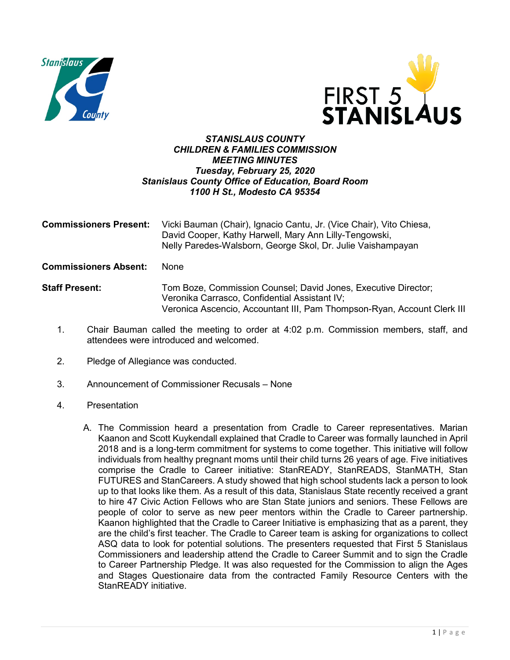



## *STANISLAUS COUNTY CHILDREN & FAMILIES COMMISSION MEETING MINUTES Tuesday, February 25, 2020 Stanislaus County Office of Education, Board Room 1100 H St., Modesto CA 95354*

| <b>Commissioners Present:</b> | Vicki Bauman (Chair), Ignacio Cantu, Jr. (Vice Chair), Vito Chiesa,<br>David Cooper, Kathy Harwell, Mary Ann Lilly-Tengowski,<br>Nelly Paredes-Walsborn, George Skol, Dr. Julie Vaishampayan                                              |
|-------------------------------|-------------------------------------------------------------------------------------------------------------------------------------------------------------------------------------------------------------------------------------------|
| <b>Commissioners Absent:</b>  | <b>None</b>                                                                                                                                                                                                                               |
| <b>Staff Present:</b>         | Tom Boze, Commission Counsel; David Jones, Executive Director;<br>Veronika Carrasco, Confidential Assistant IV;<br>Veronica Ascencio, Accountant III, Pam Thompson-Ryan, Account Clerk III                                                |
|                               | $\overline{\bullet}$ . The state is the state of the state of the state in the state of the state of the state of the state of the state of the state of the state of the state of the state of the state of the state of the state of th |

- 1. Chair Bauman called the meeting to order at 4:02 p.m. Commission members, staff, and attendees were introduced and welcomed.
- 2. Pledge of Allegiance was conducted.
- 3. Announcement of Commissioner Recusals None
- 4. Presentation
	- A. The Commission heard a presentation from Cradle to Career representatives. Marian Kaanon and Scott Kuykendall explained that Cradle to Career was formally launched in April 2018 and is a long-term commitment for systems to come together. This initiative will follow individuals from healthy pregnant moms until their child turns 26 years of age. Five initiatives comprise the Cradle to Career initiative: StanREADY, StanREADS, StanMATH, Stan FUTURES and StanCareers. A study showed that high school students lack a person to look up to that looks like them. As a result of this data, Stanislaus State recently received a grant to hire 47 Civic Action Fellows who are Stan State juniors and seniors. These Fellows are people of color to serve as new peer mentors within the Cradle to Career partnership. Kaanon highlighted that the Cradle to Career Initiative is emphasizing that as a parent, they are the child's first teacher. The Cradle to Career team is asking for organizations to collect ASQ data to look for potential solutions. The presenters requested that First 5 Stanislaus Commissioners and leadership attend the Cradle to Career Summit and to sign the Cradle to Career Partnership Pledge. It was also requested for the Commission to align the Ages and Stages Questionaire data from the contracted Family Resource Centers with the StanREADY initiative.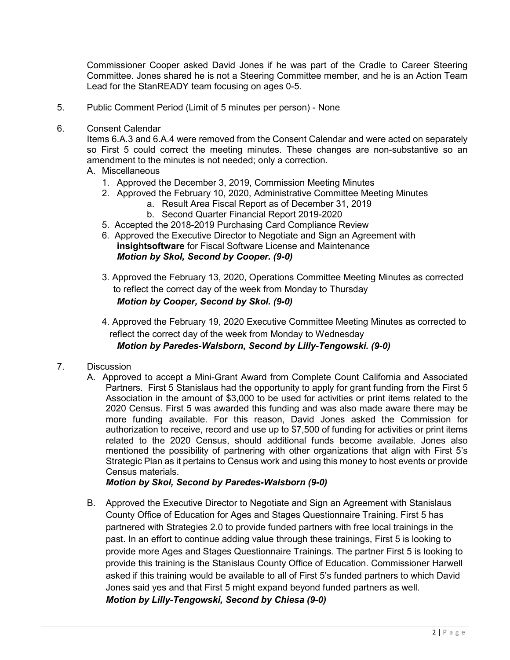Commissioner Cooper asked David Jones if he was part of the Cradle to Career Steering Committee. Jones shared he is not a Steering Committee member, and he is an Action Team Lead for the StanREADY team focusing on ages 0-5.

- 5. Public Comment Period (Limit of 5 minutes per person) None
- 6. Consent Calendar

Items 6.A.3 and 6.A.4 were removed from the Consent Calendar and were acted on separately so First 5 could correct the meeting minutes. These changes are non-substantive so an amendment to the minutes is not needed; only a correction.

- A. Miscellaneous
	- 1. Approved the December 3, 2019, Commission Meeting Minutes
	- 2. Approved the February 10, 2020, Administrative Committee Meeting Minutes
		- a. Result Area Fiscal Report as of December 31, 2019
		- b. Second Quarter Financial Report 2019-2020
	- 5. Accepted the 2018-2019 Purchasing Card Compliance Review
	- 6. Approved the Executive Director to Negotiate and Sign an Agreement with **insightsoftware** for Fiscal Software License and Maintenance *Motion by Skol, Second by Cooper. (9-0)*
	- 3. Approved the February 13, 2020, Operations Committee Meeting Minutes as corrected to reflect the correct day of the week from Monday to Thursday *Motion by Cooper, Second by Skol. (9-0)*
	- 4. Approved the February 19, 2020 Executive Committee Meeting Minutes as corrected to reflect the correct day of the week from Monday to Wednesday
		- *Motion by Paredes-Walsborn, Second by Lilly-Tengowski. (9-0)*
- 7. Discussion
	- A. Approved to accept a Mini-Grant Award from Complete Count California and Associated Partners. First 5 Stanislaus had the opportunity to apply for grant funding from the First 5 Association in the amount of \$3,000 to be used for activities or print items related to the 2020 Census. First 5 was awarded this funding and was also made aware there may be more funding available. For this reason, David Jones asked the Commission for authorization to receive, record and use up to \$7,500 of funding for activities or print items related to the 2020 Census, should additional funds become available. Jones also mentioned the possibility of partnering with other organizations that align with First 5's Strategic Plan as it pertains to Census work and using this money to host events or provide Census materials.

*Motion by Skol, Second by Paredes-Walsborn (9-0)*

B. Approved the Executive Director to Negotiate and Sign an Agreement with Stanislaus County Office of Education for Ages and Stages Questionnaire Training. First 5 has partnered with Strategies 2.0 to provide funded partners with free local trainings in the past. In an effort to continue adding value through these trainings, First 5 is looking to provide more Ages and Stages Questionnaire Trainings. The partner First 5 is looking to provide this training is the Stanislaus County Office of Education. Commissioner Harwell asked if this training would be available to all of First 5's funded partners to which David Jones said yes and that First 5 might expand beyond funded partners as well. *Motion by Lilly-Tengowski, Second by Chiesa (9-0)*

2 | Page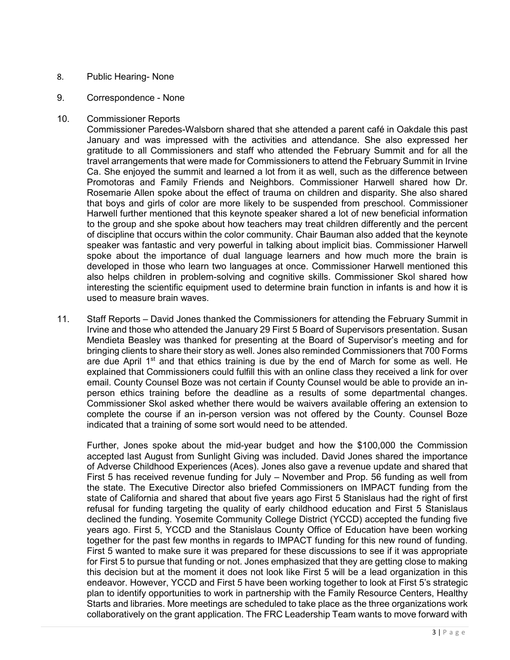## 8. Public Hearing- None

- 9. Correspondence None
- 10. Commissioner Reports

Commissioner Paredes-Walsborn shared that she attended a parent café in Oakdale this past January and was impressed with the activities and attendance. She also expressed her gratitude to all Commissioners and staff who attended the February Summit and for all the travel arrangements that were made for Commissioners to attend the February Summit in Irvine Ca. She enjoyed the summit and learned a lot from it as well, such as the difference between Promotoras and Family Friends and Neighbors. Commissioner Harwell shared how Dr. Rosemarie Allen spoke about the effect of trauma on children and disparity. She also shared that boys and girls of color are more likely to be suspended from preschool. Commissioner Harwell further mentioned that this keynote speaker shared a lot of new beneficial information to the group and she spoke about how teachers may treat children differently and the percent of discipline that occurs within the color community. Chair Bauman also added that the keynote speaker was fantastic and very powerful in talking about implicit bias. Commissioner Harwell spoke about the importance of dual language learners and how much more the brain is developed in those who learn two languages at once. Commissioner Harwell mentioned this also helps children in problem-solving and cognitive skills. Commissioner Skol shared how interesting the scientific equipment used to determine brain function in infants is and how it is used to measure brain waves.

11. Staff Reports – David Jones thanked the Commissioners for attending the February Summit in Irvine and those who attended the January 29 First 5 Board of Supervisors presentation. Susan Mendieta Beasley was thanked for presenting at the Board of Supervisor's meeting and for bringing clients to share their story as well. Jones also reminded Commissioners that 700 Forms are due April  $1<sup>st</sup>$  and that ethics training is due by the end of March for some as well. He explained that Commissioners could fulfill this with an online class they received a link for over email. County Counsel Boze was not certain if County Counsel would be able to provide an inperson ethics training before the deadline as a results of some departmental changes. Commissioner Skol asked whether there would be waivers available offering an extension to complete the course if an in-person version was not offered by the County. Counsel Boze indicated that a training of some sort would need to be attended.

Further, Jones spoke about the mid-year budget and how the \$100,000 the Commission accepted last August from Sunlight Giving was included. David Jones shared the importance of Adverse Childhood Experiences (Aces). Jones also gave a revenue update and shared that First 5 has received revenue funding for July – November and Prop. 56 funding as well from the state. The Executive Director also briefed Commissioners on IMPACT funding from the state of California and shared that about five years ago First 5 Stanislaus had the right of first refusal for funding targeting the quality of early childhood education and First 5 Stanislaus declined the funding. Yosemite Community College District (YCCD) accepted the funding five years ago. First 5, YCCD and the Stanislaus County Office of Education have been working together for the past few months in regards to IMPACT funding for this new round of funding. First 5 wanted to make sure it was prepared for these discussions to see if it was appropriate for First 5 to pursue that funding or not. Jones emphasized that they are getting close to making this decision but at the moment it does not look like First 5 will be a lead organization in this endeavor. However, YCCD and First 5 have been working together to look at First 5's strategic plan to identify opportunities to work in partnership with the Family Resource Centers, Healthy Starts and libraries. More meetings are scheduled to take place as the three organizations work collaboratively on the grant application. The FRC Leadership Team wants to move forward with